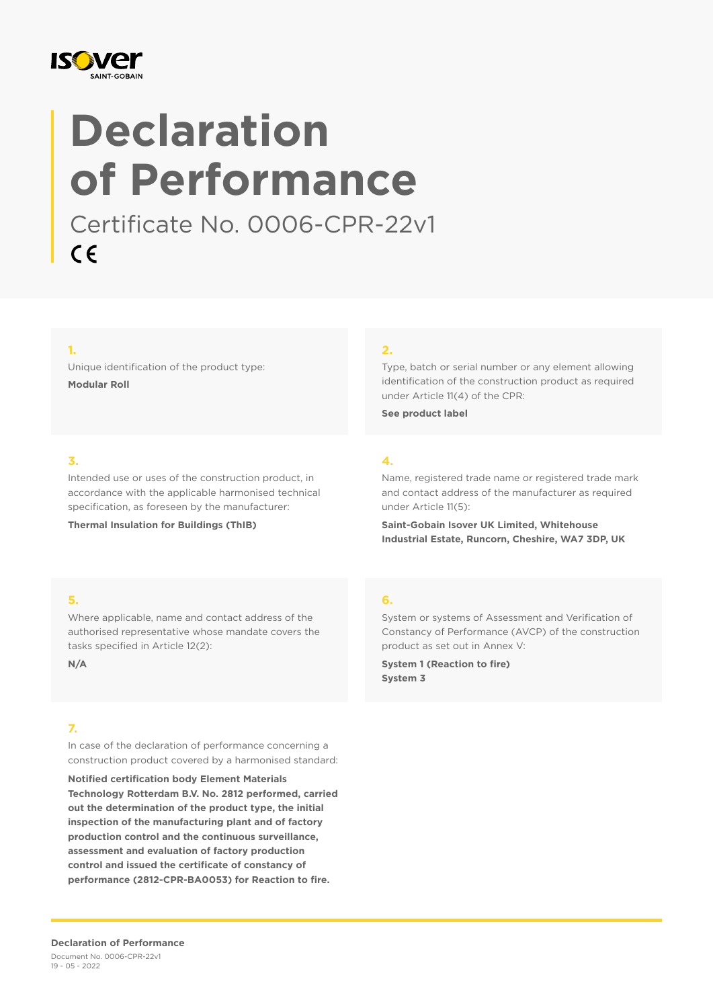

# **Declaration of Performance**

Certificate No. 0006-CPR-22v1  $C \in$ 

#### **1.**

Unique identification of the product type: **Modular Roll**

#### **2.**

Type, batch or serial number or any element allowing identification of the construction product as required under Article 11(4) of the CPR:

**See product label**

#### **3.**

Intended use or uses of the construction product, in accordance with the applicable harmonised technical specification, as foreseen by the manufacturer:

**Thermal Insulation for Buildings (ThIB)**

## **4.**

Name, registered trade name or registered trade mark and contact address of the manufacturer as required under Article 11(5):

**Saint-Gobain Isover UK Limited, Whitehouse Industrial Estate, Runcorn, Cheshire, WA7 3DP, UK**

#### **5.**

Where applicable, name and contact address of the authorised representative whose mandate covers the tasks specified in Article 12(2):

**N/A**

#### **7.**

In case of the declaration of performance concerning a construction product covered by a harmonised standard:

**Notified certification body Element Materials Technology Rotterdam B.V. No. 2812 performed, carried out the determination of the product type, the initial inspection of the manufacturing plant and of factory production control and the continuous surveillance, assessment and evaluation of factory production control and issued the certificate of constancy of performance (2812-CPR-BA0053) for Reaction to fire.**

#### **6.**

System or systems of Assessment and Verification of Constancy of Performance (AVCP) of the construction product as set out in Annex V:

**System 1 (Reaction to fire) System 3**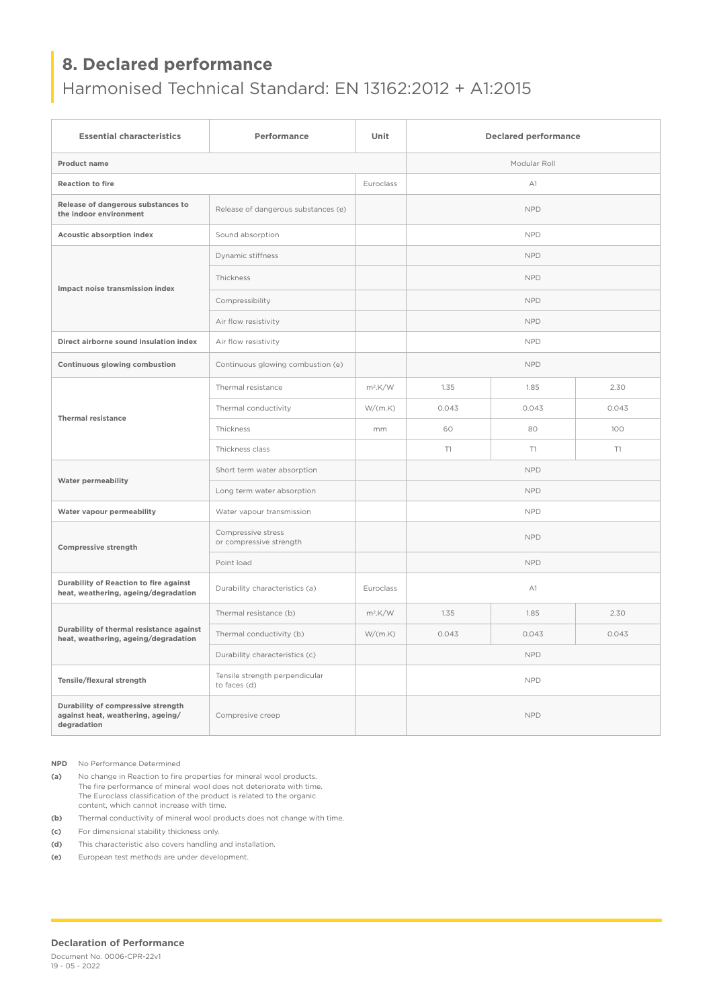## **8. Declared performance**

## Harmonised Technical Standard: EN 13162:2012 + A1:2015

| <b>Essential characteristics</b>                                                       | Performance                                    | Unit             | <b>Declared performance</b> |       |       |
|----------------------------------------------------------------------------------------|------------------------------------------------|------------------|-----------------------------|-------|-------|
| <b>Product name</b>                                                                    |                                                |                  | Modular Roll                |       |       |
| <b>Reaction to fire</b>                                                                |                                                | <b>Euroclass</b> | A1                          |       |       |
| Release of dangerous substances to<br>the indoor environment                           | Release of dangerous substances (e)            |                  | <b>NPD</b>                  |       |       |
| <b>Acoustic absorption index</b>                                                       | Sound absorption                               |                  | <b>NPD</b>                  |       |       |
| Impact noise transmission index                                                        | Dynamic stiffness                              |                  | <b>NPD</b>                  |       |       |
|                                                                                        | Thickness                                      |                  | <b>NPD</b>                  |       |       |
|                                                                                        | Compressibility                                |                  | <b>NPD</b>                  |       |       |
|                                                                                        | Air flow resistivity                           |                  | <b>NPD</b>                  |       |       |
| Direct airborne sound insulation index                                                 | Air flow resistivity                           |                  | <b>NPD</b>                  |       |       |
| Continuous glowing combustion                                                          | Continuous glowing combustion (e)              |                  | <b>NPD</b>                  |       |       |
| <b>Thermal resistance</b>                                                              | Thermal resistance                             | $m^2$ .K/W       | 1.35                        | 1.85  | 2.30  |
|                                                                                        | Thermal conductivity                           | W/(m.K)          | 0.043                       | 0.043 | 0.043 |
|                                                                                        | Thickness                                      | mm               | 60                          | 80    | 100   |
|                                                                                        | Thickness class                                |                  | T1                          | T1    | T1    |
| <b>Water permeability</b>                                                              | Short term water absorption                    |                  | <b>NPD</b>                  |       |       |
|                                                                                        | Long term water absorption                     |                  | <b>NPD</b>                  |       |       |
| Water vapour permeability                                                              | Water vapour transmission                      |                  | <b>NPD</b>                  |       |       |
| Compressive strength                                                                   | Compressive stress<br>or compressive strength  |                  | <b>NPD</b>                  |       |       |
|                                                                                        | Point load                                     |                  | <b>NPD</b>                  |       |       |
| Durability of Reaction to fire against<br>heat, weathering, ageing/degradation         | Durability characteristics (a)                 | Euroclass        | A1                          |       |       |
| Durability of thermal resistance against<br>heat, weathering, ageing/degradation       | Thermal resistance (b)                         | $m^2$ .K/W       | 1.35                        | 1.85  | 2.30  |
|                                                                                        | Thermal conductivity (b)                       | W/(m.K)          | 0.043                       | 0.043 | 0.043 |
|                                                                                        | Durability characteristics (c)                 |                  | <b>NPD</b>                  |       |       |
| Tensile/flexural strength                                                              | Tensile strength perpendicular<br>to faces (d) |                  | <b>NPD</b>                  |       |       |
| Durability of compressive strength<br>against heat, weathering, ageing/<br>degradation | Compresive creep                               |                  | <b>NPD</b>                  |       |       |

**NPD** No Performance Determined

**(a)** No change in Reaction to fire properties for mineral wool products. The fire performance of mineral wool does not deteriorate with time. The Euroclass classification of the product is related to the organic content, which cannot increase with time.

**(b)** Thermal conductivity of mineral wool products does not change with time.

**(c)** For dimensional stability thickness only.

**(d)** This characteristic also covers handling and installation.

**(e)** European test methods are under development.

#### **Declaration of Performance**

Document No. 0006-CPR-22v1 19 - 05 - 2022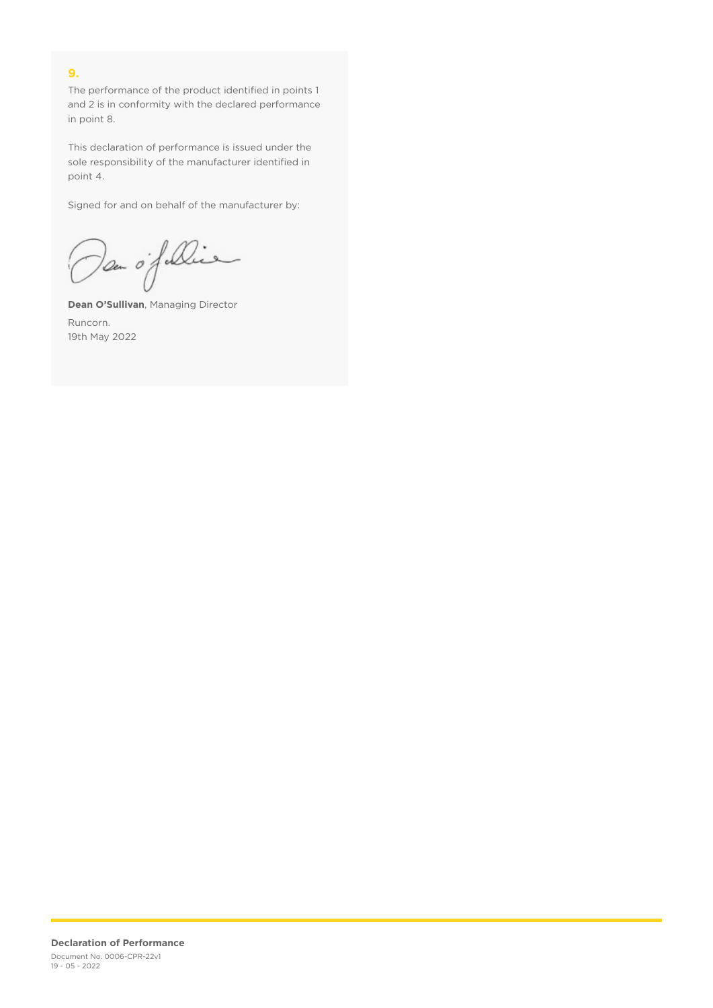### **9.**

The performance of the product identified in points 1 and 2 is in conformity with the declared performance in point 8.

This declaration of performance is issued under the sole responsibility of the manufacturer identified in point 4.

Signed for and on behalf of the manufacturer by:

Dan of Die

**Dean O'Sullivan**, Managing Director Runcorn. 19th May 2022